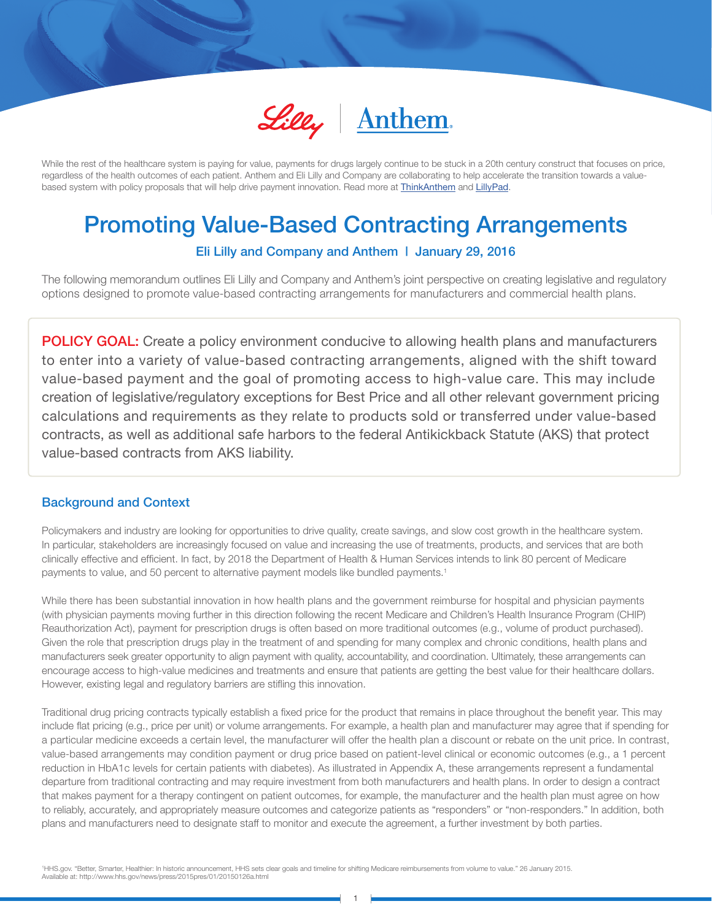

While the rest of the healthcare system is paying for value, payments for drugs largely continue to be stuck in a 20th century construct that focuses on price, regardless of the health outcomes of each patient. Anthem and Eli Lilly and Company are collaborating to help accelerate the transition towards a valuebased system with policy proposals that will help drive payment innovation. Read more at **ThinkAnthem** and LillyPad.

# Promoting Value-Based Contracting Arrangements

Eli Lilly and Company and Anthem | January 29, 2016

The following memorandum outlines Eli Lilly and Company and Anthem's joint perspective on creating legislative and regulatory options designed to promote value-based contracting arrangements for manufacturers and commercial health plans.

**POLICY GOAL:** Create a policy environment conducive to allowing health plans and manufacturers to enter into a variety of value-based contracting arrangements, aligned with the shift toward value-based payment and the goal of promoting access to high-value care. This may include creation of legislative/regulatory exceptions for Best Price and all other relevant government pricing calculations and requirements as they relate to products sold or transferred under value-based contracts, as well as additional safe harbors to the federal Antikickback Statute (AKS) that protect value-based contracts from AKS liability.

# Background and Context

Promoting Value-Based Contracting Arrangements

Policymakers and industry are looking for opportunities to drive quality, create savings, and slow cost growth in the healthcare system. In particular, stakeholders are increasingly focused on value and increasing the use of treatments, products, and services that are both clinically effective and efficient. In fact, by 2018 the Department of Health & Human Services intends to link 80 percent of Medicare payments to value, and 50 percent to alternative payment models like bundled payments.1

While there has been substantial innovation in how health plans and the government reimburse for hospital and physician payments (with physician payments moving further in this direction following the recent Medicare and Children's Health Insurance Program (CHIP) Reauthorization Act), payment for prescription drugs is often based on more traditional outcomes (e.g., volume of product purchased). Given the role that prescription drugs play in the treatment of and spending for many complex and chronic conditions, health plans and manufacturers seek greater opportunity to align payment with quality, accountability, and coordination. Ultimately, these arrangements can encourage access to high-value medicines and treatments and ensure that patients are getting the best value for their healthcare dollars. However, existing legal and regulatory barriers are stifling this innovation.

Traditional drug pricing contracts typically establish a fixed price for the product that remains in place throughout the benefit year. This may include flat pricing (e.g., price per unit) or volume arrangements. For example, a health plan and manufacturer may agree that if spending for a particular medicine exceeds a certain level, the manufacturer will offer the health plan a discount or rebate on the unit price. In contrast, value-based arrangements may condition payment or drug price based on patient-level clinical or economic outcomes (e.g., a 1 percent reduction in HbA1c levels for certain patients with diabetes). As illustrated in Appendix A, these arrangements represent a fundamental departure from traditional contracting and may require investment from both manufacturers and health plans. In order to design a contract that makes payment for a therapy contingent on patient outcomes, for example, the manufacturer and the health plan must agree on how to reliably, accurately, and appropriately measure outcomes and categorize patients as "responders" or "non-responders." In addition, both plans and manufacturers need to designate staff to monitor and execute the agreement, a further investment by both parties.

1 HHS.gov. "Better, Smarter, Healthier: In historic announcement, HHS sets clear goals and timeline for shifting Medicare reimbursements from volume to value." 26 January 2015. Available at: http://www.hhs.gov/news/press/2015pres/01/20150126a.html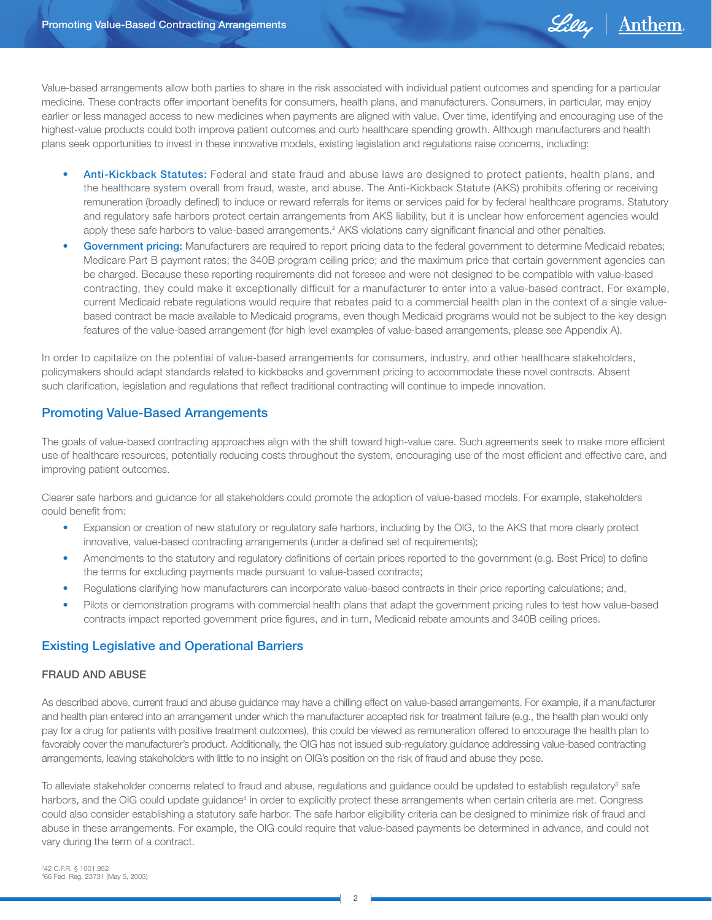

Value-based arrangements allow both parties to share in the risk associated with individual patient outcomes and spending for a particular medicine. These contracts offer important benefits for consumers, health plans, and manufacturers. Consumers, in particular, may enjoy earlier or less managed access to new medicines when payments are aligned with value. Over time, identifying and encouraging use of the highest-value products could both improve patient outcomes and curb healthcare spending growth. Although manufacturers and health plans seek opportunities to invest in these innovative models, existing legislation and regulations raise concerns, including:

- Anti-Kickback Statutes: Federal and state fraud and abuse laws are designed to protect patients, health plans, and the healthcare system overall from fraud, waste, and abuse. The Anti-Kickback Statute (AKS) prohibits offering or receiving remuneration (broadly defined) to induce or reward referrals for items or services paid for by federal healthcare programs. Statutory and regulatory safe harbors protect certain arrangements from AKS liability, but it is unclear how enforcement agencies would apply these safe harbors to value-based arrangements.<sup>2</sup> AKS violations carry significant financial and other penalties.
- Government pricing: Manufacturers are required to report pricing data to the federal government to determine Medicaid rebates; Medicare Part B payment rates; the 340B program ceiling price; and the maximum price that certain government agencies can be charged. Because these reporting requirements did not foresee and were not designed to be compatible with value-based contracting, they could make it exceptionally difficult for a manufacturer to enter into a value-based contract. For example, current Medicaid rebate regulations would require that rebates paid to a commercial health plan in the context of a single valuebased contract be made available to Medicaid programs, even though Medicaid programs would not be subject to the key design features of the value-based arrangement (for high level examples of value-based arrangements, please see Appendix A).

In order to capitalize on the potential of value-based arrangements for consumers, industry, and other healthcare stakeholders, policymakers should adapt standards related to kickbacks and government pricing to accommodate these novel contracts. Absent such clarification, legislation and regulations that reflect traditional contracting will continue to impede innovation.

# Promoting Value-Based Arrangements

The goals of value-based contracting approaches align with the shift toward high-value care. Such agreements seek to make more efficient use of healthcare resources, potentially reducing costs throughout the system, encouraging use of the most efficient and effective care, and improving patient outcomes.

Clearer safe harbors and guidance for all stakeholders could promote the adoption of value-based models. For example, stakeholders could benefit from:

- Expansion or creation of new statutory or regulatory safe harbors, including by the OIG, to the AKS that more clearly protect innovative, value-based contracting arrangements (under a defined set of requirements);
- Amendments to the statutory and regulatory definitions of certain prices reported to the government (e.g. Best Price) to define the terms for excluding payments made pursuant to value-based contracts;
- Regulations clarifying how manufacturers can incorporate value-based contracts in their price reporting calculations; and,
- Pilots or demonstration programs with commercial health plans that adapt the government pricing rules to test how value-based contracts impact reported government price figures, and in turn, Medicaid rebate amounts and 340B ceiling prices.

# Existing Legislative and Operational Barriers

#### FRAUD AND ABUSE

As described above, current fraud and abuse guidance may have a chilling effect on value-based arrangements. For example, if a manufacturer and health plan entered into an arrangement under which the manufacturer accepted risk for treatment failure (e.g., the health plan would only pay for a drug for patients with positive treatment outcomes), this could be viewed as remuneration offered to encourage the health plan to favorably cover the manufacturer's product. Additionally, the OIG has not issued sub-regulatory guidance addressing value-based contracting arrangements, leaving stakeholders with little to no insight on OIG's position on the risk of fraud and abuse they pose.

To alleviate stakeholder concerns related to fraud and abuse, regulations and guidance could be updated to establish regulatory<sup>3</sup> safe harbors, and the OIG could update guidance<sup>4</sup> in order to explicitly protect these arrangements when certain criteria are met. Congress could also consider establishing a statutory safe harbor. The safe harbor eligibility criteria can be designed to minimize risk of fraud and abuse in these arrangements. For example, the OIG could require that value-based payments be determined in advance, and could not vary during the term of a contract.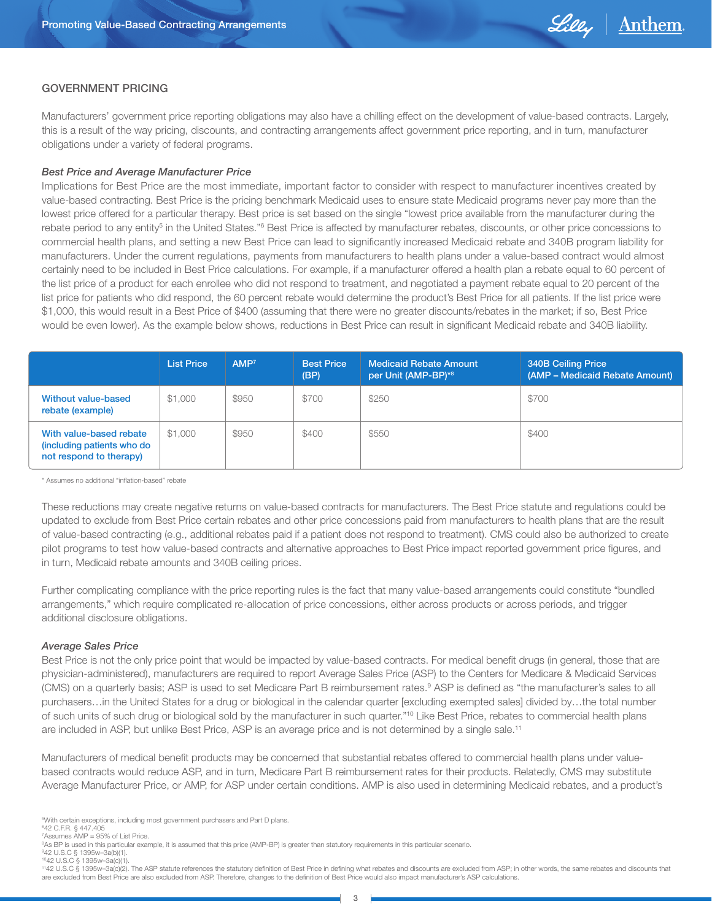

#### GOVERNMENT PRICING

Manufacturers' government price reporting obligations may also have a chilling effect on the development of value-based contracts. Largely, this is a result of the way pricing, discounts, and contracting arrangements affect government price reporting, and in turn, manufacturer obligations under a variety of federal programs.

#### *Best Price and Average Manufacturer Price*

Implications for Best Price are the most immediate, important factor to consider with respect to manufacturer incentives created by value-based contracting. Best Price is the pricing benchmark Medicaid uses to ensure state Medicaid programs never pay more than the lowest price offered for a particular therapy. Best price is set based on the single "lowest price available from the manufacturer during the rebate period to any entity<sup>5</sup> in the United States."<sup>6</sup> Best Price is affected by manufacturer rebates, discounts, or other price concessions to commercial health plans, and setting a new Best Price can lead to significantly increased Medicaid rebate and 340B program liability for manufacturers. Under the current regulations, payments from manufacturers to health plans under a value-based contract would almost certainly need to be included in Best Price calculations. For example, if a manufacturer offered a health plan a rebate equal to 60 percent of the list price of a product for each enrollee who did not respond to treatment, and negotiated a payment rebate equal to 20 percent of the list price for patients who did respond, the 60 percent rebate would determine the product's Best Price for all patients. If the list price were \$1,000, this would result in a Best Price of \$400 (assuming that there were no greater discounts/rebates in the market; if so, Best Price would be even lower). As the example below shows, reductions in Best Price can result in significant Medicaid rebate and 340B liability.

|                                                                                  | <b>List Price</b> | AMP <sup>7</sup> | <b>Best Price</b><br>(BP) | <b>Medicaid Rebate Amount</b><br>ا per Unit (AMP-BP)* <sup>8</sup> ا | <b>340B Ceiling Price</b><br>(AMP - Medicaid Rebate Amount) |
|----------------------------------------------------------------------------------|-------------------|------------------|---------------------------|----------------------------------------------------------------------|-------------------------------------------------------------|
| Without value-based<br>rebate (example)                                          | \$1,000           | \$950            | \$700                     | \$250                                                                | \$700                                                       |
| With value-based rebate<br>(including patients who do<br>not respond to therapy) | \$1,000           | \$950            | \$400                     | \$550                                                                | \$400                                                       |

\* Assumes no additional "inflation-based" rebate

These reductions may create negative returns on value-based contracts for manufacturers. The Best Price statute and regulations could be updated to exclude from Best Price certain rebates and other price concessions paid from manufacturers to health plans that are the result of value-based contracting (e.g., additional rebates paid if a patient does not respond to treatment). CMS could also be authorized to create pilot programs to test how value-based contracts and alternative approaches to Best Price impact reported government price figures, and in turn, Medicaid rebate amounts and 340B ceiling prices.

Further complicating compliance with the price reporting rules is the fact that many value-based arrangements could constitute "bundled arrangements," which require complicated re-allocation of price concessions, either across products or across periods, and trigger additional disclosure obligations.

#### *Average Sales Price*

Best Price is not the only price point that would be impacted by value-based contracts. For medical benefit drugs (in general, those that are physician-administered), manufacturers are required to report Average Sales Price (ASP) to the Centers for Medicare & Medicaid Services (CMS) on a quarterly basis; ASP is used to set Medicare Part B reimbursement rates.<sup>9</sup> ASP is defined as "the manufacturer's sales to all purchasers…in the United States for a drug or biological in the calendar quarter [excluding exempted sales] divided by…the total number of such units of such drug or biological sold by the manufacturer in such quarter."<sup>10</sup> Like Best Price, rebates to commercial health plans are included in ASP, but unlike Best Price, ASP is an average price and is not determined by a single sale.<sup>11</sup>

Manufacturers of medical benefit products may be concerned that substantial rebates offered to commercial health plans under valuebased contracts would reduce ASP, and in turn, Medicare Part B reimbursement rates for their products. Relatedly, CMS may substitute Average Manufacturer Price, or AMP, for ASP under certain conditions. AMP is also used in determining Medicaid rebates, and a product's

5 With certain exceptions, including most government purchasers and Part D plans.

6 42 C.F.R. § 447.405

<sup>7</sup> Assumes AMP = 95% of List Price. 8 As BP is used in this particular example, it is assumed that this price (AMP-BP) is greater than statutory requirements in this particular scenario.

<sup>9</sup> 42 U.S.C § 1395w–3a(b)(1).

<sup>1042</sup> U.S.C § 1395w–3a(c)(1).  $1120.23$  states and  $(8)$ . The ASP statute references the statutory definition of Best Price in defining what rebates and discounts are excluded from ASP; in other words, the same rebates and discounts that are excluded from Best Price are also excluded from ASP. Therefore, changes to the definition of Best Price would also impact manufacturer's ASP calculations.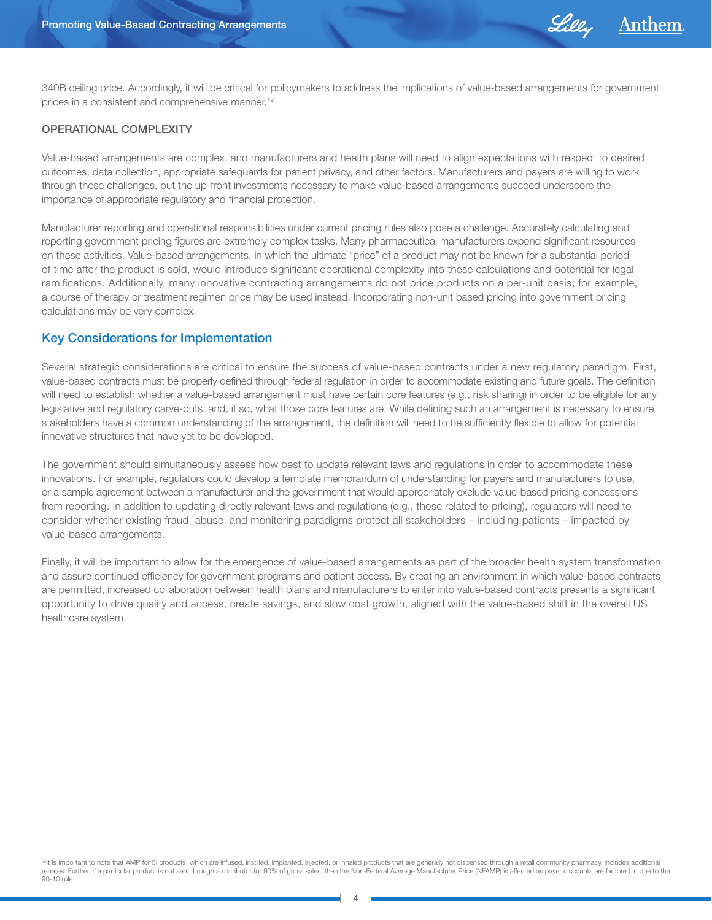

340B ceiling price. Accordingly, it will be critical for policymakers to address the implications of value-based arrangements for government prices in a consistent and comprehensive manner.12

#### OPERATIONAL COMPLEXITY

Value-based arrangements are complex, and manufacturers and health plans will need to align expectations with respect to desired outcomes, data collection, appropriate safeguards for patient privacy, and other factors. Manufacturers and payers are willing to work through these challenges, but the up-front investments necessary to make value-based arrangements succeed underscore the importance of appropriate regulatory and financial protection.

Manufacturer reporting and operational responsibilities under current pricing rules also pose a challenge. Accurately calculating and reporting government pricing figures are extremely complex tasks. Many pharmaceutical manufacturers expend significant resources on these activities. Value-based arrangements, in which the ultimate "price" of a product may not be known for a substantial period of time after the product is sold, would introduce significant operational complexity into these calculations and potential for legal ramifications. Additionally, many innovative contracting arrangements do not price products on a per-unit basis; for example, a course of therapy or treatment regimen price may be used instead. Incorporating non-unit based pricing into government pricing calculations may be very complex.

### Key Considerations for Implementation

Several strategic considerations are critical to ensure the success of value-based contracts under a new regulatory paradigm. First, value-based contracts must be properly defined through federal regulation in order to accommodate existing and future goals. The definition will need to establish whether a value-based arrangement must have certain core features (e.g., risk sharing) in order to be eligible for any legislative and regulatory carve-outs, and, if so, what those core features are. While defining such an arrangement is necessary to ensure stakeholders have a common understanding of the arrangement, the definition will need to be sufficiently flexible to allow for potential innovative structures that have yet to be developed.

The government should simultaneously assess how best to update relevant laws and regulations in order to accommodate these innovations. For example, regulators could develop a template memorandum of understanding for payers and manufacturers to use, or a sample agreement between a manufacturer and the government that would appropriately exclude value-based pricing concessions from reporting. In addition to updating directly relevant laws and regulations (e.g., those related to pricing), regulators will need to consider whether existing fraud, abuse, and monitoring paradigms protect all stakeholders – including patients – impacted by value-based arrangements.

Finally, it will be important to allow for the emergence of value-based arrangements as part of the broader health system transformation and assure continued efficiency for government programs and patient access. By creating an environment in which value-based contracts are permitted, increased collaboration between health plans and manufacturers to enter into value-based contracts presents a significant opportunity to drive quality and access, create savings, and slow cost growth, aligned with the value-based shift in the overall US healthcare system.

<sup>12</sup>It is important to note that AMP for 5i products, which are infused, instilled, implanted, injected, or inhaled products that are generally not dispensed through a retail community pharmacy, includes additional rebates. Further, if a particular product is not sent through a distributor for 90% of gross sales, then the Non-Federal Average Manufacturer Price (NFAMP) is affected as payer discounts are factored in due to the 90-10 rule.